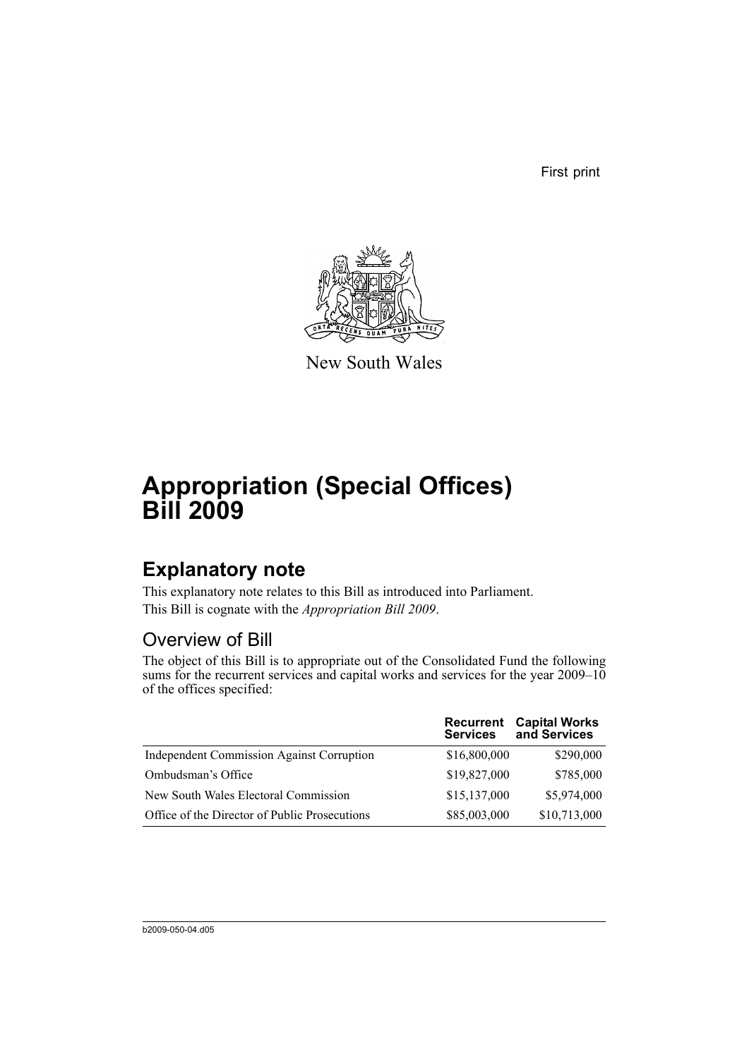First print



New South Wales

# **Appropriation (Special Offices) Bill 2009**

## **Explanatory note**

This explanatory note relates to this Bill as introduced into Parliament. This Bill is cognate with the *Appropriation Bill 2009*.

### Overview of Bill

The object of this Bill is to appropriate out of the Consolidated Fund the following sums for the recurrent services and capital works and services for the year  $2009-10$ of the offices specified:

|                                                  | Recurrent<br><b>Services</b> | <b>Capital Works</b><br>and Services |
|--------------------------------------------------|------------------------------|--------------------------------------|
| <b>Independent Commission Against Corruption</b> | \$16,800,000                 | \$290,000                            |
| Ombudsman's Office                               | \$19,827,000                 | \$785,000                            |
| New South Wales Electoral Commission             | \$15,137,000                 | \$5,974,000                          |
| Office of the Director of Public Prosecutions    | \$85,003,000                 | \$10,713,000                         |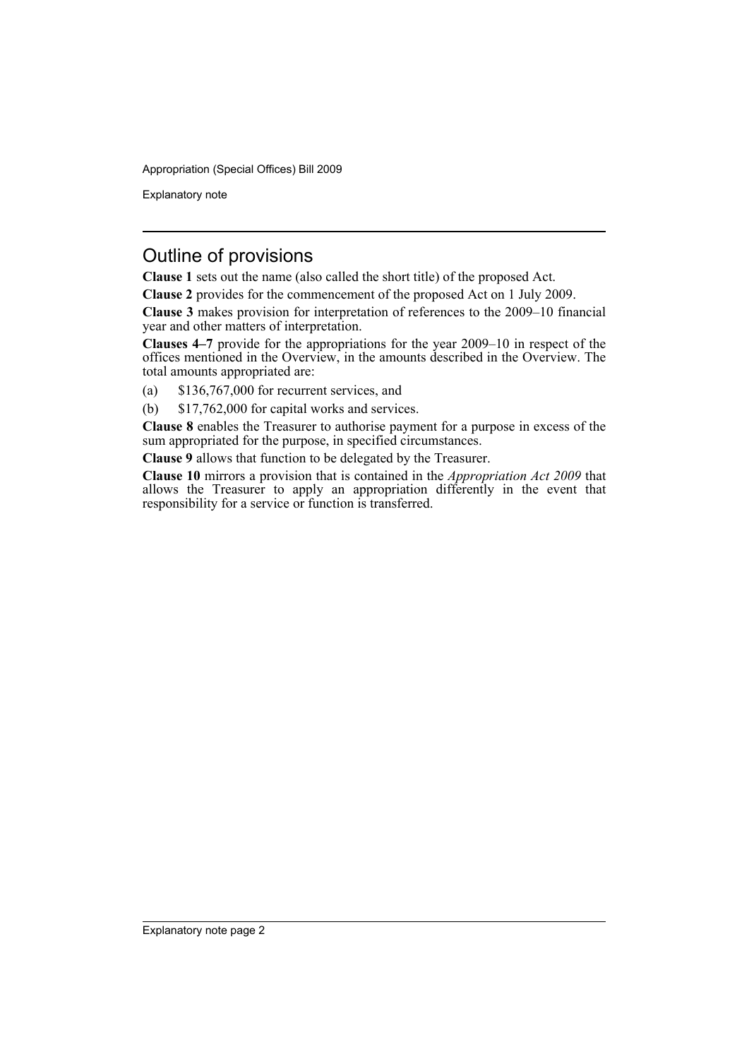Appropriation (Special Offices) Bill 2009

Explanatory note

### Outline of provisions

**Clause 1** sets out the name (also called the short title) of the proposed Act.

**Clause 2** provides for the commencement of the proposed Act on 1 July 2009.

**Clause 3** makes provision for interpretation of references to the 2009–10 financial year and other matters of interpretation.

**Clauses 4–7** provide for the appropriations for the year 2009–10 in respect of the offices mentioned in the Overview, in the amounts described in the Overview. The total amounts appropriated are:

(a) \$136,767,000 for recurrent services, and

(b) \$17,762,000 for capital works and services.

**Clause 8** enables the Treasurer to authorise payment for a purpose in excess of the sum appropriated for the purpose, in specified circumstances.

**Clause 9** allows that function to be delegated by the Treasurer.

**Clause 10** mirrors a provision that is contained in the *Appropriation Act 2009* that allows the Treasurer to apply an appropriation differently in the event that responsibility for a service or function is transferred.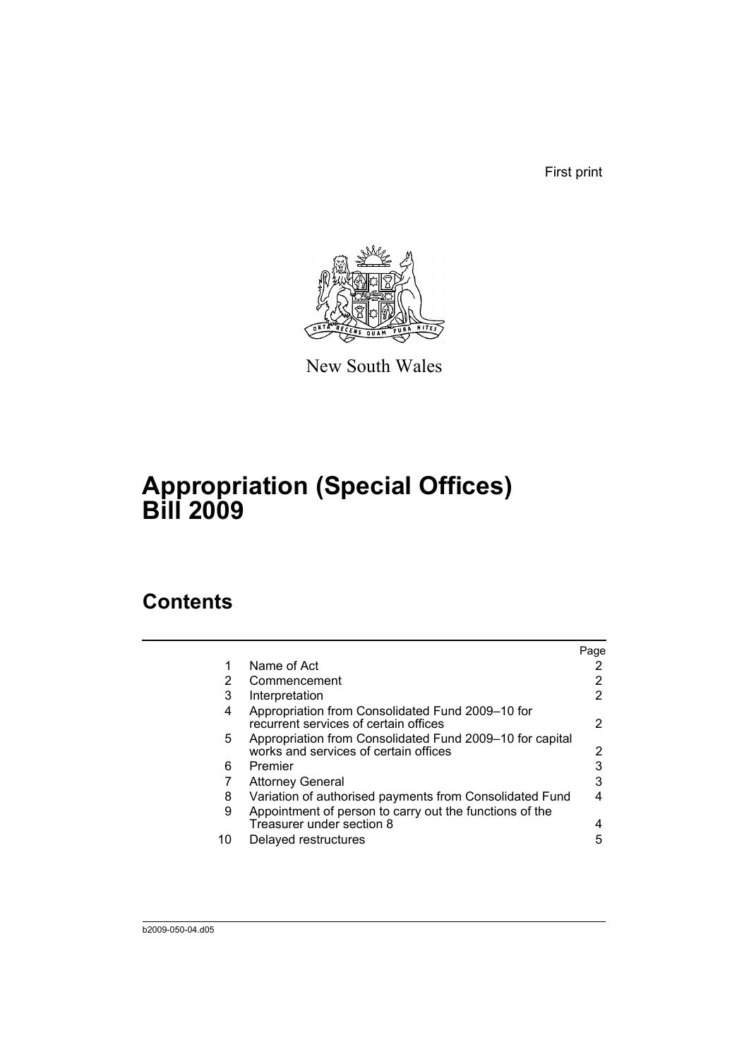First print



New South Wales

# **Appropriation (Special Offices) Bill 2009**

## **Contents**

|    |                                                                                                   | Page |
|----|---------------------------------------------------------------------------------------------------|------|
| 1  | Name of Act                                                                                       |      |
| 2  | Commencement                                                                                      |      |
| 3  | Interpretation                                                                                    | 2    |
| 4  | Appropriation from Consolidated Fund 2009-10 for<br>recurrent services of certain offices         | 2    |
| 5  | Appropriation from Consolidated Fund 2009–10 for capital<br>works and services of certain offices | 2    |
| 6  | Premier                                                                                           | з    |
|    | <b>Attorney General</b>                                                                           | 3    |
| 8  | Variation of authorised payments from Consolidated Fund                                           |      |
| 9  | Appointment of person to carry out the functions of the<br>Treasurer under section 8              |      |
| 10 | Delayed restructures                                                                              | 5    |
|    |                                                                                                   |      |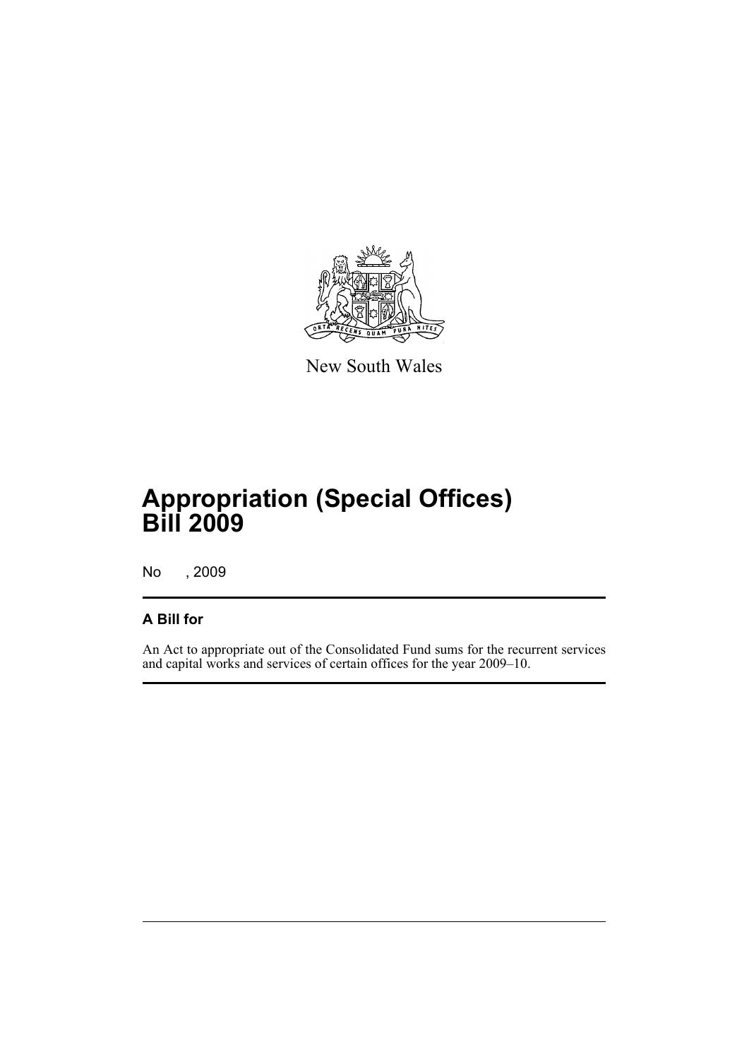

New South Wales

# **Appropriation (Special Offices) Bill 2009**

No , 2009

### **A Bill for**

An Act to appropriate out of the Consolidated Fund sums for the recurrent services and capital works and services of certain offices for the year 2009–10.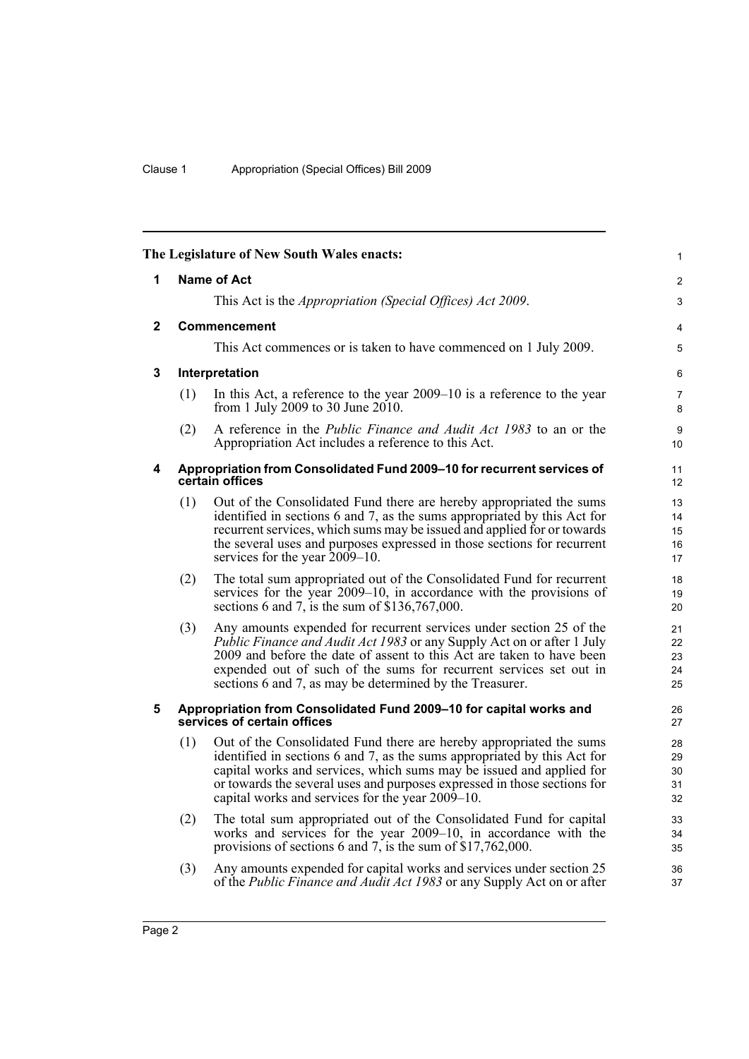<span id="page-5-4"></span><span id="page-5-3"></span><span id="page-5-2"></span><span id="page-5-1"></span><span id="page-5-0"></span>

|              |                    | The Legislature of New South Wales enacts:                                                                                                                                                                                                                                                                                                                      | $\mathbf{1}$               |
|--------------|--------------------|-----------------------------------------------------------------------------------------------------------------------------------------------------------------------------------------------------------------------------------------------------------------------------------------------------------------------------------------------------------------|----------------------------|
| 1            | <b>Name of Act</b> |                                                                                                                                                                                                                                                                                                                                                                 |                            |
|              |                    | This Act is the <i>Appropriation (Special Offices) Act 2009</i> .                                                                                                                                                                                                                                                                                               | 3                          |
| $\mathbf{2}$ |                    | Commencement                                                                                                                                                                                                                                                                                                                                                    | 4                          |
|              |                    | This Act commences or is taken to have commenced on 1 July 2009.                                                                                                                                                                                                                                                                                                | 5                          |
| 3            |                    | Interpretation                                                                                                                                                                                                                                                                                                                                                  | 6                          |
|              | (1)                | In this Act, a reference to the year $2009-10$ is a reference to the year<br>from 1 July 2009 to 30 June 2010.                                                                                                                                                                                                                                                  | $\overline{7}$<br>8        |
|              | (2)                | A reference in the <i>Public Finance and Audit Act 1983</i> to an or the<br>Appropriation Act includes a reference to this Act.                                                                                                                                                                                                                                 | 9<br>10 <sup>°</sup>       |
| 4            |                    | Appropriation from Consolidated Fund 2009-10 for recurrent services of<br>certain offices                                                                                                                                                                                                                                                                       | 11<br>12 <sup>°</sup>      |
|              | (1)                | Out of the Consolidated Fund there are hereby appropriated the sums<br>identified in sections 6 and 7, as the sums appropriated by this Act for<br>recurrent services, which sums may be issued and applied for or towards<br>the several uses and purposes expressed in those sections for recurrent<br>services for the year 2009–10.                         | 13<br>14<br>15<br>16<br>17 |
|              | (2)                | The total sum appropriated out of the Consolidated Fund for recurrent<br>services for the year 2009–10, in accordance with the provisions of<br>sections 6 and 7, is the sum of $$136,767,000$ .                                                                                                                                                                | 18<br>19<br>20             |
|              | (3)                | Any amounts expended for recurrent services under section 25 of the<br><i>Public Finance and Audit Act 1983</i> or any Supply Act on or after 1 July<br>2009 and before the date of assent to this Act are taken to have been<br>expended out of such of the sums for recurrent services set out in<br>sections 6 and 7, as may be determined by the Treasurer. | 21<br>22<br>23<br>24<br>25 |
| 5            |                    | Appropriation from Consolidated Fund 2009-10 for capital works and<br>services of certain offices                                                                                                                                                                                                                                                               | 26<br>27                   |
|              | (1)                | Out of the Consolidated Fund there are hereby appropriated the sums<br>identified in sections 6 and 7, as the sums appropriated by this Act for<br>capital works and services, which sums may be issued and applied for<br>or towards the several uses and purposes expressed in those sections for<br>capital works and services for the year 2009–10.         | 28<br>29<br>30<br>31<br>32 |
|              | (2)                | The total sum appropriated out of the Consolidated Fund for capital<br>works and services for the year 2009–10, in accordance with the<br>provisions of sections 6 and 7, is the sum of \$17,762,000.                                                                                                                                                           | 33<br>34<br>35             |
|              | (3)                | Any amounts expended for capital works and services under section 25<br>of the <i>Public Finance and Audit Act 1983</i> or any Supply Act on or after                                                                                                                                                                                                           | 36<br>37                   |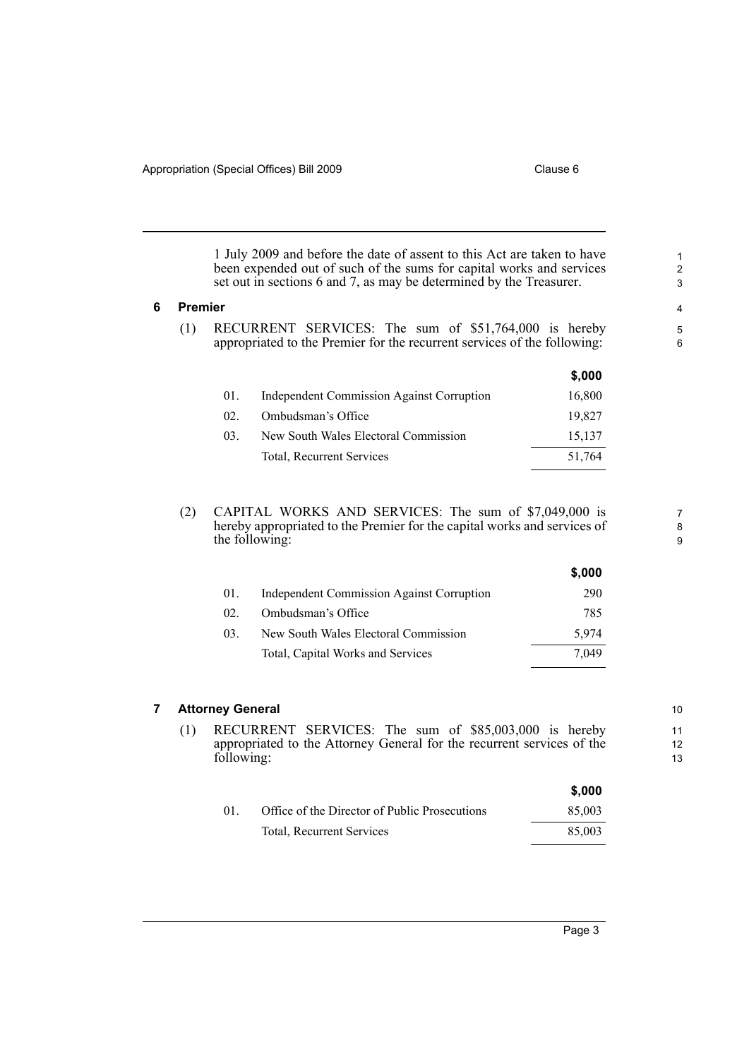**\$,000**

**\$,000**

1 July 2009 and before the date of assent to this Act are taken to have been expended out of such of the sums for capital works and services set out in sections 6 and 7, as may be determined by the Treasurer.

#### <span id="page-6-0"></span>**6 Premier**

(1) RECURRENT SERVICES: The sum of \$51,764,000 is hereby appropriated to the Premier for the recurrent services of the following:

|     |                                                  | J,UUU  |
|-----|--------------------------------------------------|--------|
| 01. | <b>Independent Commission Against Corruption</b> | 16,800 |
| 02  | Ombudsman's Office                               | 19,827 |
| 03. | New South Wales Electoral Commission             | 15,137 |
|     | Total, Recurrent Services                        | 51,764 |
|     |                                                  |        |

(2) CAPITAL WORKS AND SERVICES: The sum of \$7,049,000 is hereby appropriated to the Premier for the capital works and services of the following:

|        |                                                  | v,vvv |
|--------|--------------------------------------------------|-------|
| 01.    | <b>Independent Commission Against Corruption</b> | 290   |
| $02-1$ | Ombudsman's Office                               | 785   |
| 03.    | New South Wales Electoral Commission             | 5.974 |
|        | Total, Capital Works and Services                | 7.049 |
|        |                                                  |       |

#### <span id="page-6-1"></span>**7 Attorney General**

(1) RECURRENT SERVICES: The sum of \$85,003,000 is hereby appropriated to the Attorney General for the recurrent services of the following:

|    |                                               | \$.000 |
|----|-----------------------------------------------|--------|
| 01 | Office of the Director of Public Prosecutions | 85,003 |
|    | Total, Recurrent Services                     | 85,003 |

10 11 12

7 8 9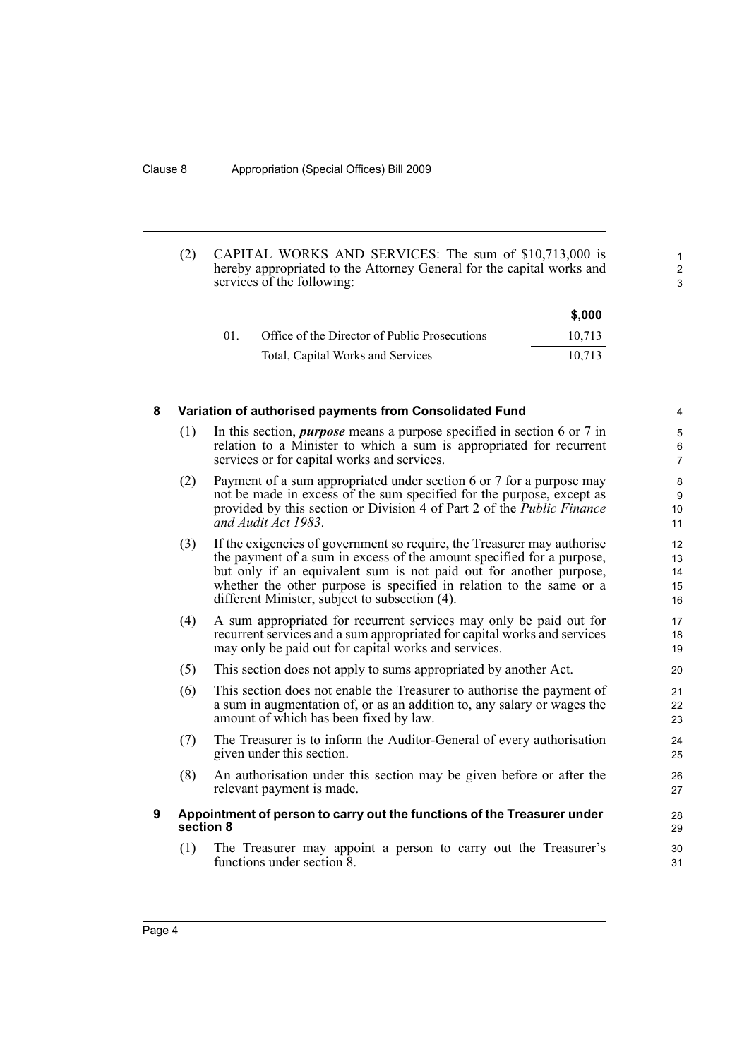(2) CAPITAL WORKS AND SERVICES: The sum of \$10,713,000 is hereby appropriated to the Attorney General for the capital works and services of the following:

|    |                                               | \$,000 |
|----|-----------------------------------------------|--------|
| 01 | Office of the Director of Public Prosecutions | 10.713 |
|    | Total, Capital Works and Services             | 10.713 |

### <span id="page-7-0"></span>**8 Variation of authorised payments from Consolidated Fund**

- (1) In this section, *purpose* means a purpose specified in section 6 or 7 in relation to a Minister to which a sum is appropriated for recurrent services or for capital works and services.
- (2) Payment of a sum appropriated under section 6 or 7 for a purpose may not be made in excess of the sum specified for the purpose, except as provided by this section or Division 4 of Part 2 of the *Public Finance and Audit Act 1983*.
- (3) If the exigencies of government so require, the Treasurer may authorise the payment of a sum in excess of the amount specified for a purpose, but only if an equivalent sum is not paid out for another purpose, whether the other purpose is specified in relation to the same or a different Minister, subject to subsection (4).
- (4) A sum appropriated for recurrent services may only be paid out for recurrent services and a sum appropriated for capital works and services may only be paid out for capital works and services.
- (5) This section does not apply to sums appropriated by another Act.
- (6) This section does not enable the Treasurer to authorise the payment of a sum in augmentation of, or as an addition to, any salary or wages the amount of which has been fixed by law.
- (7) The Treasurer is to inform the Auditor-General of every authorisation given under this section.
- (8) An authorisation under this section may be given before or after the relevant payment is made.

#### <span id="page-7-1"></span>**9 Appointment of person to carry out the functions of the Treasurer under section 8**

(1) The Treasurer may appoint a person to carry out the Treasurer's functions under section 8.